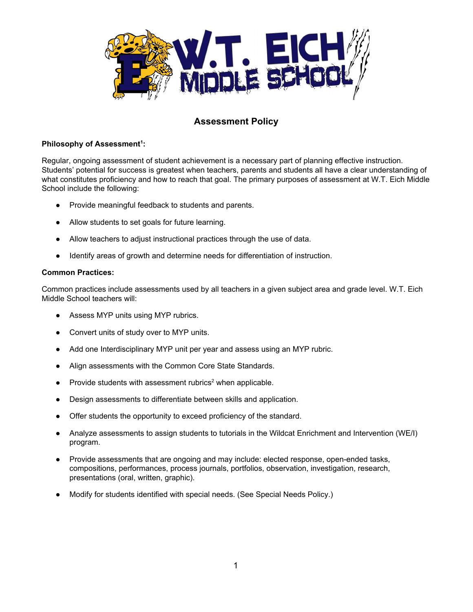

# **Assessment Policy**

## **Philosophy of Assessment 1 :**

Regular, ongoing assessment of student achievement is a necessary part of planning effective instruction. Students' potential for success is greatest when teachers, parents and students all have a clear understanding of what constitutes proficiency and how to reach that goal. The primary purposes of assessment at W.T. Eich Middle School include the following:

- Provide meaningful feedback to students and parents.
- Allow students to set goals for future learning.
- Allow teachers to adjust instructional practices through the use of data.
- Identify areas of growth and determine needs for differentiation of instruction.

## **Common Practices:**

Common practices include assessments used by all teachers in a given subject area and grade level. W.T. Eich Middle School teachers will:

- Assess MYP units using MYP rubrics.
- Convert units of study over to MYP units.
- Add one Interdisciplinary MYP unit per year and assess using an MYP rubric.
- Align assessments with the Common Core State Standards.
- Provide students with assessment rubrics<sup>2</sup> when applicable.
- Design assessments to differentiate between skills and application.
- Offer students the opportunity to exceed proficiency of the standard.
- Analyze assessments to assign students to tutorials in the Wildcat Enrichment and Intervention (WE/I) program.
- Provide assessments that are ongoing and may include: elected response, open-ended tasks, compositions, performances, process journals, portfolios, observation, investigation, research, presentations (oral, written, graphic).
- Modify for students identified with special needs. (See Special Needs Policy.)